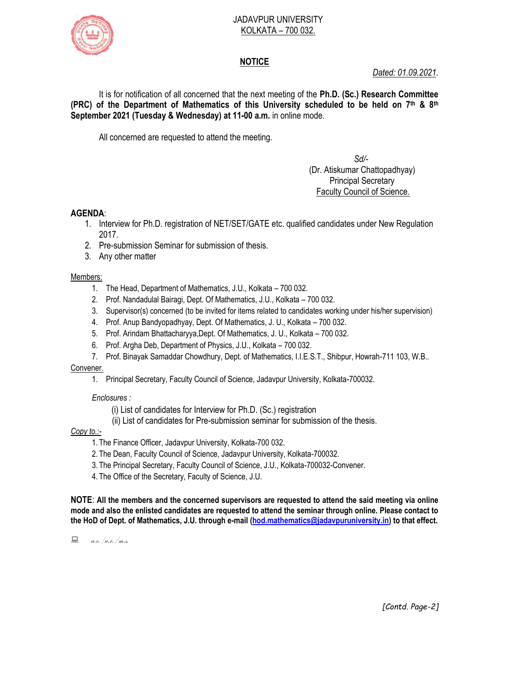

#### JADAVPUR UNIVERSITY KOLKATA – 700 032.

# **NOTICE**

*Dated: 01.09.2021.*

It is for notification of all concerned that the next meeting of the **Ph.D. (Sc.) Research Committee (PRC) of the Department of Mathematics of this University scheduled to be held on 7 th & 8th September 2021 (Tuesday & Wednesday) at 11-00 a.m.** in online mode.

All concerned are requested to attend the meeting.

 *Sd/-*  (Dr. Atiskumar Chattopadhyay) Principal Secretary Faculty Council of Science.

### **AGENDA**:

- 1. Interview for Ph.D. registration of NET/SET/GATE etc. qualified candidates under New Regulation 2017.
- 2. Pre-submission Seminar for submission of thesis.
- 3. Any other matter

#### Members:

- 1. The Head, Department of Mathematics, J.U., Kolkata 700 032.
- 2. Prof. Nandadulal Bairagi, Dept. Of Mathematics, J.U., Kolkata 700 032.
- 3. Supervisor(s) concerned (to be invited for items related to candidates working under his/her supervision)
- 4. Prof. Anup Bandyopadhyay, Dept. Of Mathematics, J. U., Kolkata 700 032.
- 5. Prof. Arindam Bhattacharyya,Dept. Of Mathematics, J. U., Kolkata 700 032.
- 6. Prof. Argha Deb, Department of Physics, J.U., Kolkata 700 032.
- 7. Prof. Binayak Samaddar Chowdhury, Dept. of Mathematics, I.I.E.S.T., Shibpur, Howrah-711 103, W.B..

#### Convener.

1. Principal Secretary, Faculty Council of Science, Jadavpur University, Kolkata-700032.

*Enclosures :*

- (i) List of candidates for Interview for Ph.D. (Sc.) registration
- (ii) List of candidates for Pre-submission seminar for submission of the thesis.

### *Copy to.:-*

- 1. The Finance Officer, Jadavpur University, Kolkata-700 032.
- 2. The Dean, Faculty Council of Science, Jadavpur University, Kolkata-700032.
- 3. The Principal Secretary, Faculty Council of Science, J.U., Kolkata-700032-Convener.
- 4. The Office of the Secretary, Faculty of Science, J.U.

**NOTE**: **All the members and the concerned supervisors are requested to attend the said meeting via online mode and also the enlisted candidates are requested to attend the seminar through online. Please contact to the HoD of Dept. of Mathematics, J.U. through e-mail [\(hod.mathematics@jadavpuruniversity.in\)](mailto:hod.mathematics@jadavpuruniversity.in) to that effect.**

 $\Box$  a.e. /a.r. /m.s.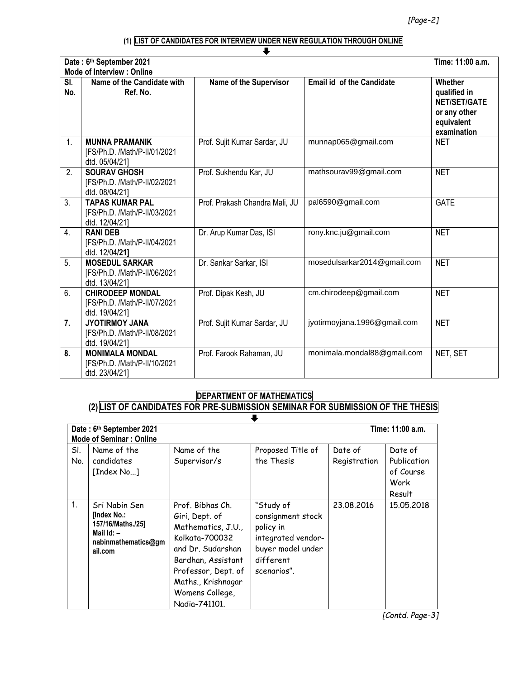# **(1) LIST OF CANDIDATES FOR INTERVIEW UNDER NEW REGULATION THROUGH ONLINE**

|            | Date: 6th September 2021<br><b>Mode of Interview: Online</b>              |                                |                                  | Time: 11:00 a.m.                                                                            |
|------------|---------------------------------------------------------------------------|--------------------------------|----------------------------------|---------------------------------------------------------------------------------------------|
| SI.<br>No. | Name of the Candidate with<br>Ref. No.                                    | Name of the Supervisor         | <b>Email id of the Candidate</b> | Whether<br>qualified in<br><b>NET/SET/GATE</b><br>or any other<br>equivalent<br>examination |
| 1.         | <b>MUNNA PRAMANIK</b><br>[FS/Ph.D. /Math/P-II/01/2021<br>dtd. 05/04/21]   | Prof. Sujit Kumar Sardar, JU   | munnap065@gmail.com              | <b>NET</b>                                                                                  |
| 2.         | <b>SOURAV GHOSH</b><br>[FS/Ph.D. /Math/P-II/02/2021<br>dtd. 08/04/21]     | Prof. Sukhendu Kar, JU         | mathsourav99@gmail.com           | <b>NET</b>                                                                                  |
| 3.         | <b>TAPAS KUMAR PAL</b><br>[FS/Ph.D. /Math/P-II/03/2021<br>dtd. 12/04/21]  | Prof. Prakash Chandra Mali, JU | pal6590@gmail.com                | <b>GATE</b>                                                                                 |
| 4.         | <b>RANI DEB</b><br>[FS/Ph.D. /Math/P-II/04/2021<br>dtd. 12/04/21]         | Dr. Arup Kumar Das, ISI        | rony.knc.ju@gmail.com            | <b>NET</b>                                                                                  |
| 5.         | <b>MOSEDUL SARKAR</b><br>[FS/Ph.D. /Math/P-II/06/2021<br>dtd. 13/04/21]   | Dr. Sankar Sarkar, ISI         | mosedulsarkar2014@gmail.com      | <b>NET</b>                                                                                  |
| 6.         | <b>CHIRODEEP MONDAL</b><br>[FS/Ph.D. /Math/P-II/07/2021<br>dtd. 19/04/21] | Prof. Dipak Kesh, JU           | cm.chirodeep@gmail.com           | <b>NET</b>                                                                                  |
| 7.         | <b>JYOTIRMOY JANA</b><br>[FS/Ph.D. /Math/P-II/08/2021<br>dtd. 19/04/21]   | Prof. Sujit Kumar Sardar, JU   | jyotirmoyjana.1996@gmail.com     | <b>NET</b>                                                                                  |
| 8.         | <b>MONIMALA MONDAL</b><br>[FS/Ph.D. /Math/P-II/10/2021<br>dtd. 23/04/21]  | Prof. Farook Rahaman, JU       | monimala.mondal88@gmail.com      | NET, SET                                                                                    |

# **DEPARTMENT OF MATHEMATICS**

### **(2) LIST OF CANDIDATES FOR PRE-SUBMISSION SEMINAR FOR SUBMISSION OF THE THESIS**

|                | Time: 11:00 a.m.<br>Date: 6th September 2021<br><b>Mode of Seminar: Online</b>                        |                                                                                                                                                                                                        |                                                                                                                    |                         |                                                       |
|----------------|-------------------------------------------------------------------------------------------------------|--------------------------------------------------------------------------------------------------------------------------------------------------------------------------------------------------------|--------------------------------------------------------------------------------------------------------------------|-------------------------|-------------------------------------------------------|
| SI.<br>No.     | Name of the<br>candidates<br>[Index No]                                                               | Name of the<br>Supervisor/s                                                                                                                                                                            | Proposed Title of<br>the Thesis                                                                                    | Date of<br>Registration | Date of<br>Publication<br>of Course<br>Work<br>Result |
| 1 <sub>1</sub> | Sri Nabin Sen<br>[Index No.:<br>157/16/Maths./25]<br>Mail $Id:$ $-$<br>nabinmathematics@gm<br>ail.com | Prof. Bibhas Ch.<br>Giri, Dept. of<br>Mathematics, J.U.,<br>Kolkata-700032<br>and Dr. Sudarshan<br>Bardhan, Assistant<br>Professor, Dept. of<br>Maths., Krishnagar<br>Womens College,<br>Nadia-741101. | "Study of<br>consignment stock<br>policy in<br>integrated vendor-<br>buyer model under<br>different<br>scenarios". | 23,08,2016              | 15,05,2018                                            |

*[Contd. Page-3]*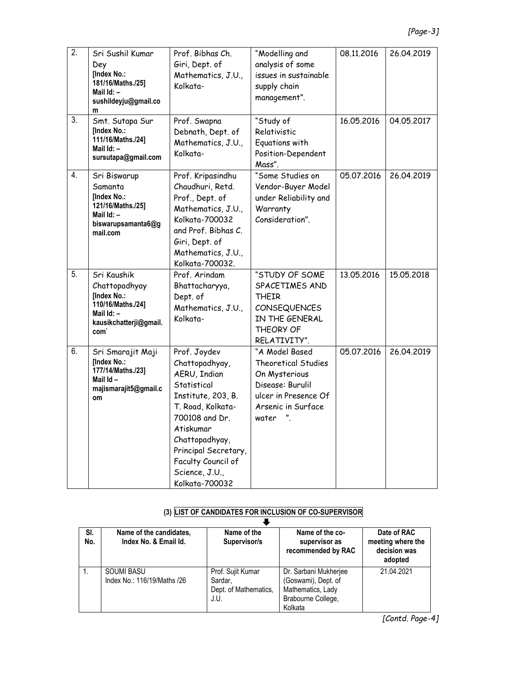| $\overline{2}$ . | Sri Sushil Kumar<br>Dey<br>[Index No.:<br>181/16/Maths./25]<br>Mail $Id: -$<br>sushildeyju@gmail.co<br>m                     | Prof. Bibhas Ch.<br>Giri, Dept. of<br>Mathematics, J.U.,<br>Kolkata-                                                                                                                                                                        | "Modelling and<br>analysis of some<br>issues in sustainable<br>supply chain<br>management".                                              | 08.11.2016 | 26.04.2019 |
|------------------|------------------------------------------------------------------------------------------------------------------------------|---------------------------------------------------------------------------------------------------------------------------------------------------------------------------------------------------------------------------------------------|------------------------------------------------------------------------------------------------------------------------------------------|------------|------------|
| 3.               | Smt. Sutapa Sur<br>[Index No.:<br>111/16/Maths./24]<br>Mail Id: -<br>sursutapa@gmail.com                                     | Prof. Swapna<br>Debnath, Dept. of<br>Mathematics, J.U.,<br>Kolkata-                                                                                                                                                                         | "Study of<br>Relativistic<br>Equations with<br>Position-Dependent<br>Mass".                                                              | 16.05.2016 | 04.05.2017 |
| 4.               | Sri Biswarup<br>Samanta<br>[Index No.:<br>121/16/Maths./25]<br>Mail Id: -<br>biswarupsamanta6@g<br>mail.com                  | Prof. Kripasindhu<br>Chaudhuri, Retd.<br>Prof., Dept. of<br>Mathematics, J.U.,<br>Kolkata-700032<br>and Prof. Bibhas C.<br>Giri, Dept. of<br>Mathematics, J.U.,<br>Kolkata-700032.                                                          | "Some Studies on<br>Vendor-Buyer Model<br>under Reliability and<br>Warranty<br>Consideration".                                           | 05.07.2016 | 26.04.2019 |
| 5.               | Sri Kaushik<br>Chattopadhyay<br>[Index No.:<br>110/16/Maths./24]<br>Mail Id: -<br>kausikchatterji@gmail.<br>com <sup>'</sup> | Prof. Arindam<br>Bhattacharyya,<br>Dept. of<br>Mathematics, J.U.,<br>Kolkata-                                                                                                                                                               | "STUDY OF SOME<br>SPACETIMES AND<br>THEIR<br><b>CONSEQUENCES</b><br>IN THE GENERAL<br>THEORY OF<br>RELATIVITY".                          | 13.05.2016 | 15.05.2018 |
| 6.               | Sri Smarajit Maji<br>[Index No.:<br>177/14/Maths./23]<br>Mail Id-<br>majismarajit5@gmail.c<br>om                             | Prof. Joydev<br>Chattopadhyay,<br>AERU, Indian<br>Statistical<br>Institute, 203, B.<br>T. Road, Kolkata-<br>700108 and Dr.<br>Atiskumar<br>Chattopadhyay,<br>Principal Secretary,<br>Faculty Council of<br>Science, J.U.,<br>Kolkata-700032 | "A Model Based<br><b>Theoretical Studies</b><br>On Mysterious<br>Disease: Burulil<br>ulcer in Presence Of<br>Arsenic in Surface<br>water | 05.07.2016 | 26.04.2019 |

### **(3) LIST OF CANDIDATES FOR INCLUSION OF CO-SUPERVISOR**

| SI.<br>No. | Name of the candidates,<br>Index No. & Email Id. | Name of the<br>Supervisor/s                                   | Name of the co-<br>supervisor as<br>recommended by RAC                                             | Date of RAC<br>meeting where the<br>decision was<br>adopted |  |
|------------|--------------------------------------------------|---------------------------------------------------------------|----------------------------------------------------------------------------------------------------|-------------------------------------------------------------|--|
|            | <b>SOUMI BASU</b><br>Index No.: 116/19/Maths /26 | Prof. Sujit Kumar<br>Sardar,<br>Dept. of Mathematics,<br>J.U. | Dr. Sarbani Mukherjee<br>(Goswami), Dept. of<br>Mathematics, Lady<br>Brabourne College,<br>Kolkata | 21.04.2021                                                  |  |

*[Contd. Page-4]*